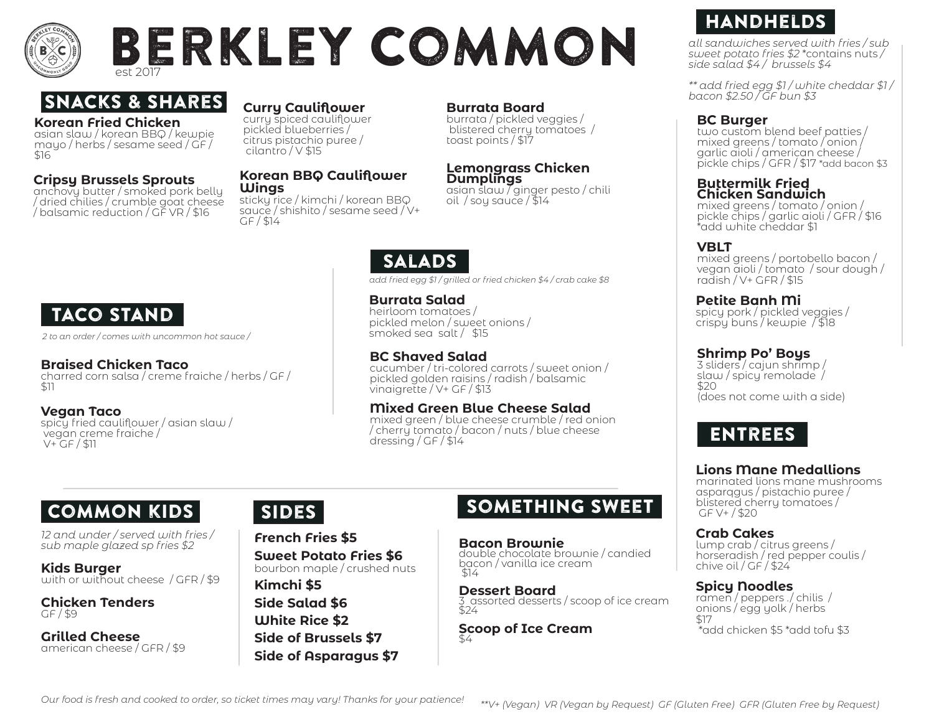

## Berkley CoMmon est 2017

### Snacks & Shares

#### **Korean Fried Chicken**

asian slaw / korean BBQ / kewpie mayo / herbs / sesame seed / GF / \$16

#### **Cripsy Brussels Sprouts**

anchovy butter / smoked pork belly / dried chilies / crumble goat cheese / balsamic reduction / GF VR / \$16

#### **Curry Cauliflower**

curry spiced cauliflower pickled blueberries / citrus pistachio puree / cilantro / V \$15

#### **Korean BBQ Cauliflower Wings**

sticky rice / kimchi / korean BBQ sauce / shishito / sesame seed / V+  $GF / 14$ 

#### **Burrata Board**

burrata / pickled veggies / blistered cherry tomatoes / toast points / \$17

#### **Lemongrass Chicken Dumplings**

asian slaw  $\sqrt{q}$ inger pesto / chili oil / soy sauce / \$14

### Salads

*add fried egg \$1 / grilled or fried chicken \$4 / crab cake \$8* 

**Burrata Salad** heirloom tomatoes / pickled melon / sweet onions / smoked sea salt / \$15

#### **BC Shaved Salad**

cucumber / tri-colored carrots / sweet onion / pickled golden raisins / radish / balsamic vinaigrette / V+ GF / \$13

#### **Mixed Green Blue Cheese Salad**

mixed green / blue cheese crumble / red onion / cherry tomato / bacon / nuts / blue cheese dressing / GF / \$14

 vegan creme fraiche / V+ GF / \$11

### Common kids

*12 and under / served with fries / sub maple glazed sp fries \$2* 

**Kids Burger**  with or without cheese / GFR/\$9

**Chicken Tenders** GF / \$9

**Grilled Cheese**  american cheese / GFR / \$9

**French Fries \$5 Sweet Potato Fries \$6**  bourbon maple / crushed nuts **Kimchi \$5 Side Salad \$6**

**White Rice \$2 Side of Brussels \$7 Side of Asparagus \$7**

### SIDES SOMETHING SWEET

**Bacon Brownie** double chocolate brownie / candied bacon / vanilla ice cream \$14

**Dessert Board** 3 assorted desserts / scoop of ice cream  $524$ 

**Scoop of Ice Cream** 

### **HANDHELDS**

*all sandwiches served with fries / sub sweet potato fries \$2* \*contains nuts */ side salad \$4 / brussels \$4* 

*\*\* add fried egg \$1 / white cheddar \$1 / bacon \$2.50 / GF bun \$3*

#### **BC Burger**

two custom blend beef patties / mixed greens / tomato / onion / garlic aioli / american cheese / pickle chips / GFR / \$17 \*add bacon \$3

#### **Buttermilk Fried Chicken Sandwich**

mixed greens / tomato / onion / pickle chips / garlic aioli / GFR / \$16 \*add white cheddar \$1

#### **VBLT**

mixed greens / portobello bacon / vegan aioli / tomato / sour dough / radish / V+ GFR / \$15

#### **Petite Banh Mi**

spicy pork / pickled veggies / crispy buns / kewpie / \$18

#### **Shrimp Po' Boys**

3 sliders / cajun shrimp / slaw / spicy remolade / \$20 (does not come with a side)

### Entrees

#### **Lions Mane Medallions**

marinated lions mane mushrooms asparqgus / pistachio puree / blistered cherry tomatoes / GF V+ / \$20

**Crab Cakes** lump crab / citrus greens / horseradish / red pepper coulis / chive oil / GF / \$24

#### **Spicy Noodles**

ramen / peppers ./ chilis / onions / egg yolk / herbs \$17 \*add chicken \$5 \*add tofu \$3

### TACO STAND

*2 to an order / comes with uncommon hot sauce /* 

#### **Braised Chicken Taco**

charred corn salsa / creme fraiche / herbs / GF / \$11

**Vegan Taco**

spicy fried cauliflower / asian slaw /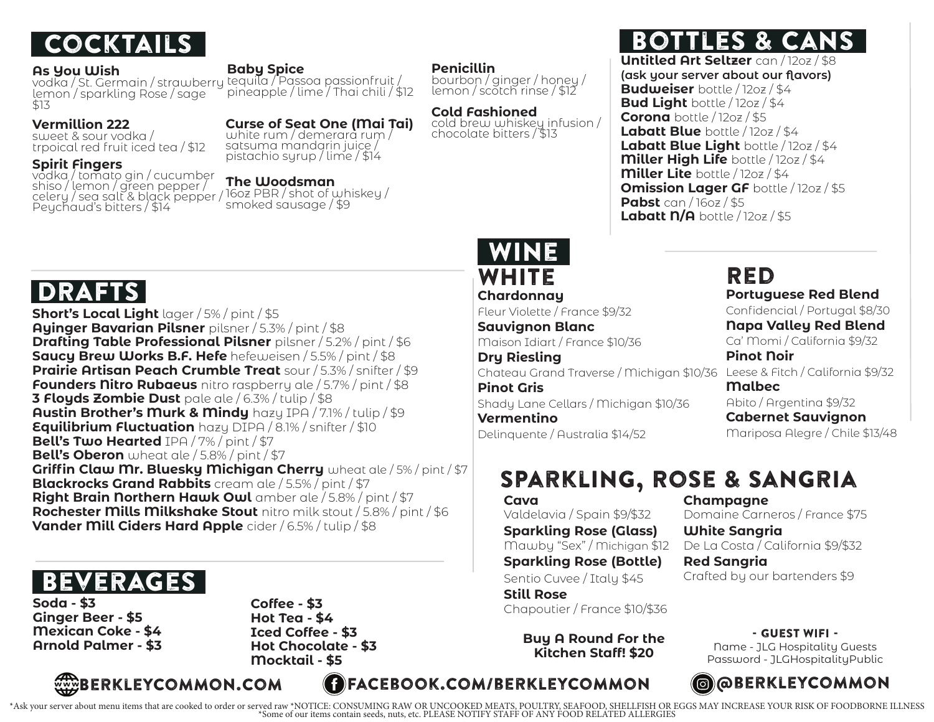

#### **As You Wish**

lemon / sparkling Rose / sage \$13

#### **Vermillion 222**

sweet & sour vodka / trpoical red fruit iced tea / \$12

#### **Spirit Fingers**

vodka / tomato gin / cucumber shiso / lemon / green pepper / celery / sea salt & black pepper / Peychaud's bitters / \$14

#### **Baby Spice**

vodka / St. Germain / strawberry tequila / Passoa passionfruit / pineapple / lime / Thai chili / \$12

> satsuma mandarin juice / pistachio syrup / lime / \$14

### **Curse of Seat One (Mai Tai)**

white rum / demerara rum /

### **The Woodsman**

16oz PBR / shot of whiskey / smoked sausage / \$9

**Penicillin**

bourbon / ginger / honey / lemon / scotch rinse / \$12

**Cold Fashioned** cold brew whiskey infusion / chocolate bitters / \$13

### Cocktails Bottles & Cans

**Untitled Art Seltzer** can / 12oz / \$8 **(ask your server about our flavors) Budweiser** bottle / 12oz / \$4 **Bud Light** bottle / 12oz / \$4 **Corona** bottle / 12oz / \$5 **Labatt Blue** bottle / 12oz / \$4 **Labatt Blue Light** bottle / 12oz / \$4 **Miller High Life** bottle / 12oz / \$4 **Miller Lite** bottle / 12oz / \$4 **Omission Lager GF** bottle / 12oz / \$5 **Pabst** can / 16oz / \$5 **Labatt N/A** bottle / 12oz / \$5

### WHITE WINE

**Chardonnay** Fleur Violette / France \$9/32 **Sauvignon Blanc** Maison Idiart / France \$10/36 **Dry Riesling** Chateau Grand Traverse / Michigan \$10/36 Leese & Fitch / California \$9/32 **Pinot Gris** Shady Lane Cellars / Michigan \$10/36 **Vermentino** Delinquente / Australia \$14/52

## Red

**Portuguese Red Blend** Confidencial / Portugal \$8/30 **Napa Valley Red Blend** Ca' Momi / California \$9/32 **Pinot Noir Malbec** Abito / Argentina \$9/32 **Cabernet Sauvignon**

Mariposa Alegre / Chile \$13/48

### Sparkling, Rose & Sangria

#### **Cava** Valdelavia / Spain \$9/\$32 **Sparkling Rose (Glass)** Mawby "Sex" / Michigan \$12 **Sparkling Rose (Bottle)** Sentio Cuvee / Italy \$45

**Still Rose Soda - \$3 Soda - \$3 Coffee - \$3 Soda - \$3 Chapoutier / France \$10/\$36** 

> **Buy A Round For the Kitchen Staff! \$20**

**Champagne** Domaine Carneros / France \$75

**White Sangria** De La Costa / California \$9/\$32 **Red Sangria**

Crafted by our bartenders \$9

### - Guest Wifi -

Name - JLG Hospitality Guests Password - JLGHospitalityPublic

## DRAFTS

**Short's Local Light** lager / 5% / pint / \$5 **Ayinger Bavarian Pilsner** pilsner / 5.3% / pint / \$8 **Drafting Table Professional Pilsner** pilsner / 5.2% / pint / \$6 **Saucy Brew Works B.F. Hefe** hefeweisen / 5.5% / pint / \$8 **Prairie Artisan Peach Crumble Treat** sour / 5.3% / snifter / \$9 **Founders Nitro Rubaeus** nitro raspberry ale / 5.7% / pint / \$8 **3 Floyds Zombie Dust** pale ale / 6.3% / tulip / \$8 **Austin Brother's Murk & Mindy** hazy IPA / 7.1% / tulip / \$9 **Equilibrium Fluctuation** hazy DIPA / 8.1% / snifter / \$10 **Bell's Two Hearted** IPA / 7% / pint / \$7 **Bell's Oberon** wheat ale / 5.8% / pint / \$7 **Griffin Claw Mr. Bluesky Michigan Cherry** wheat ale / 5% / pint / \$7 **Blackrocks Grand Rabbits** cream ale / 5.5% / pint / \$7 **Right Brain Northern Hawk Owl** amber ale / 5.8% / pint / \$7 **Rochester Mills Milkshake Stout** nitro milk stout / 5.8% / pint / \$6 **Vander Mill Ciders Hard Apple** cider / 6.5% / tulip / \$8

## **BEVERAGES**

**Ginger Beer - \$5 Mexican Coke - \$4 Arnold Palmer - \$3** **Coffee - \$3 Hot Tea - \$4 Iced Coffee - \$3 Hot Chocolate - \$3 Mocktail - \$5**



Ask your server about menu items that are cooked to order or served raw \*NOTICE: CONSUMING RAW OR UNCOOKED MEATS, POULTRY, SEAFOOD, SHELLFISH OR EGGS MAY INCREASE YOUR RISK OF FOODBORNE ILLNESS\*/<br>Some of our items contain